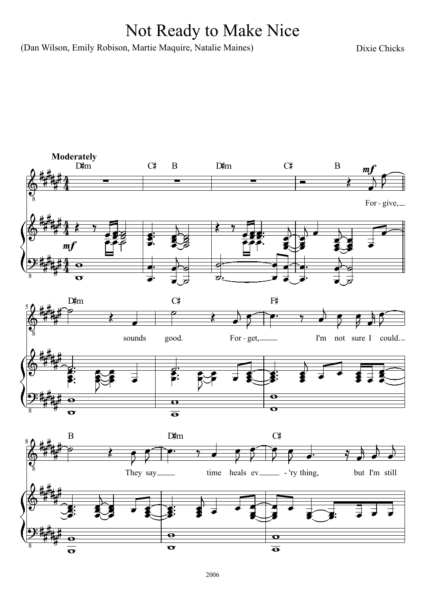## Not Ready to Make Nice

(Dan Wilson, Emily Robison, Martie Maquire, Natalie Maines) Dixie Chicks

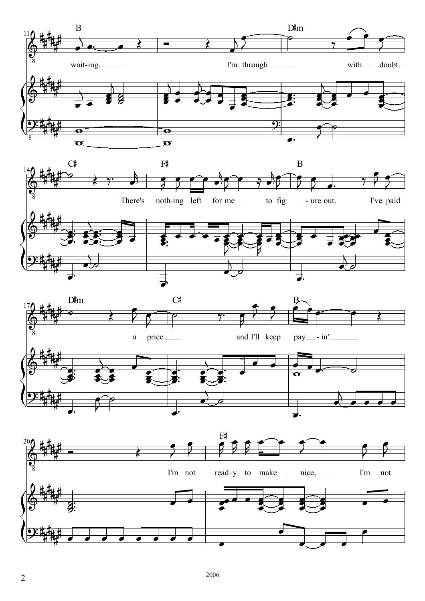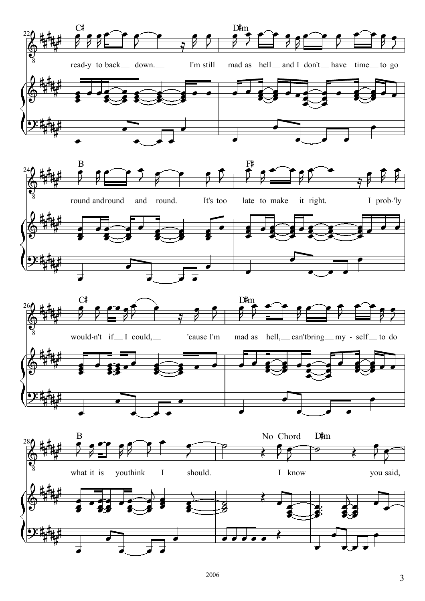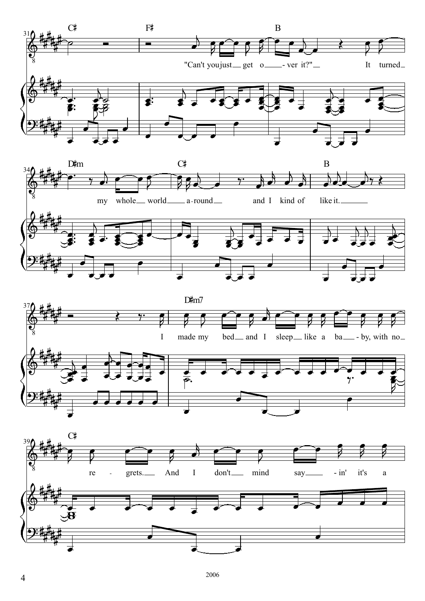



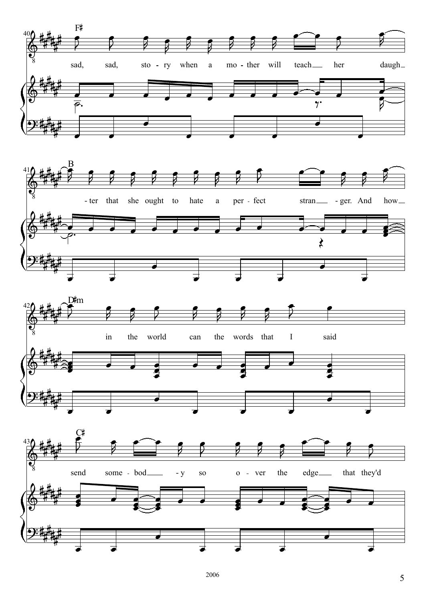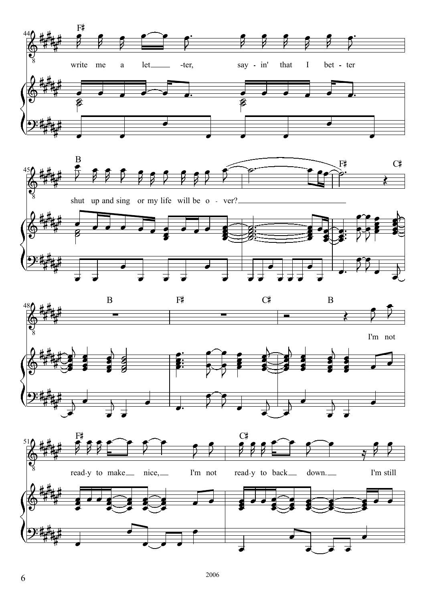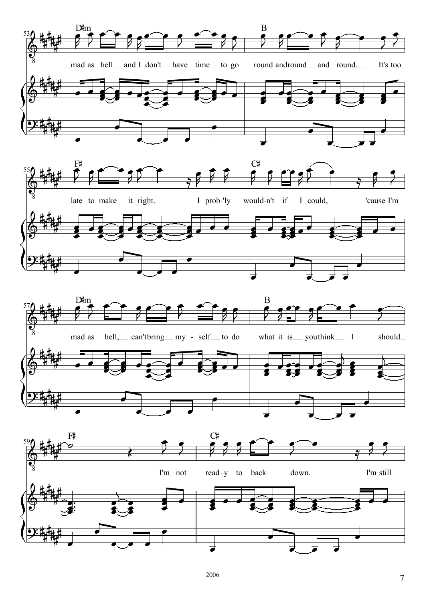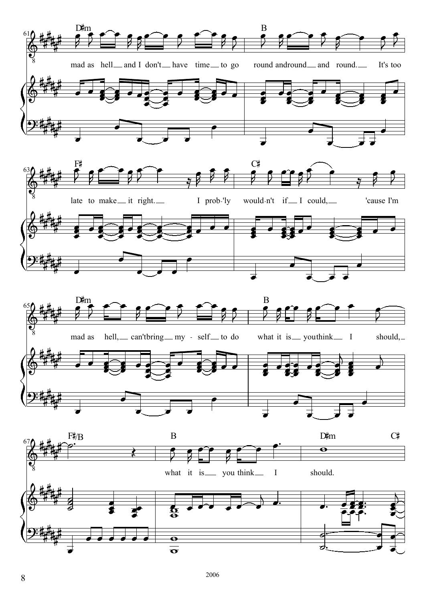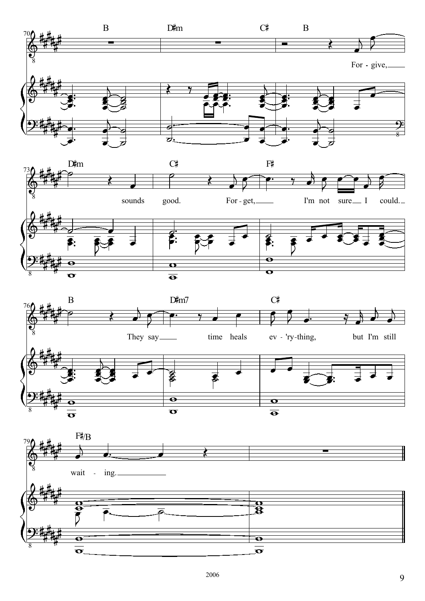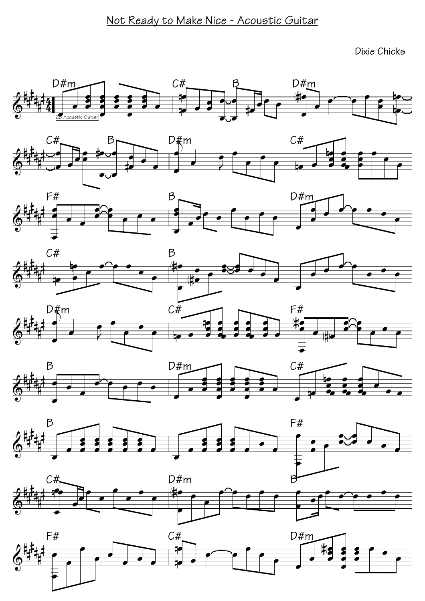## Not Ready to Make Nice - Acoustic Guitar

















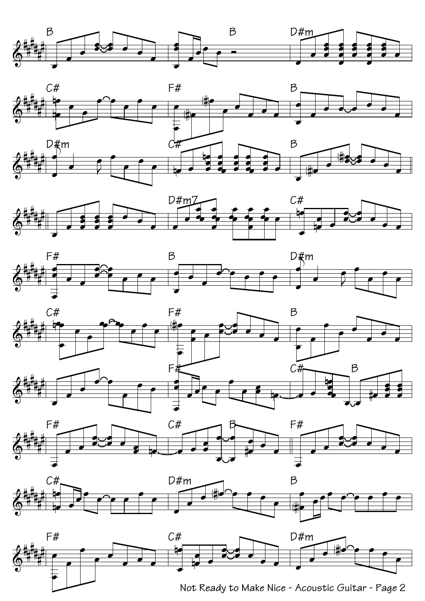













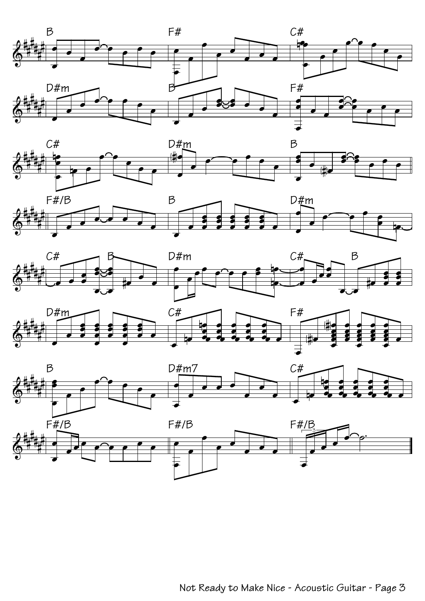









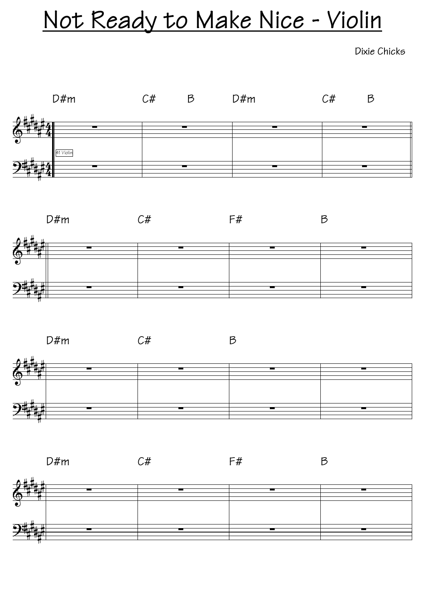## Not Ready to Make Nice - Violin











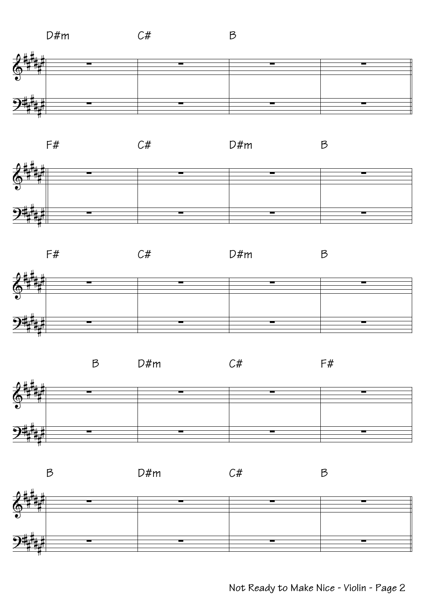













Not Ready to Make Nice - Violin - Page 2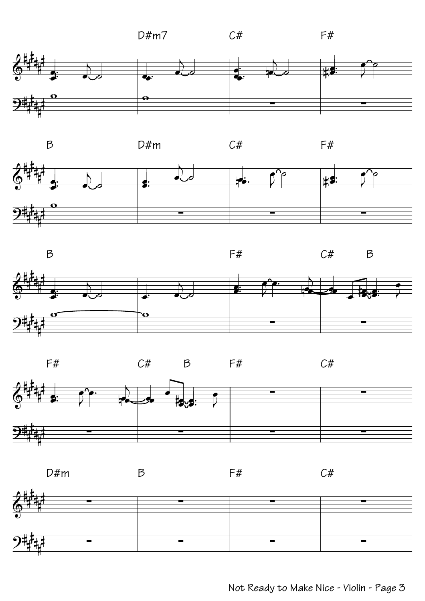









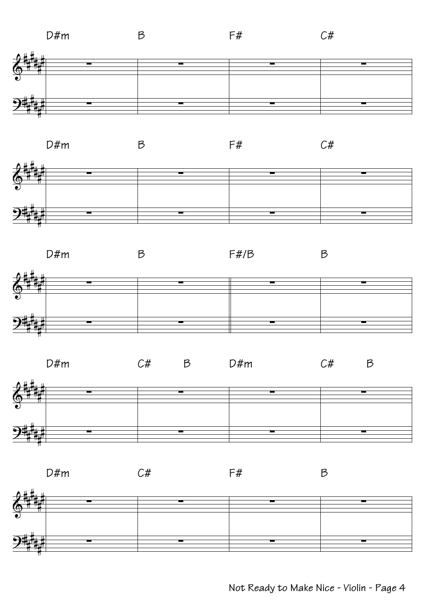



Not Ready to Make Nice - Violin - Page 4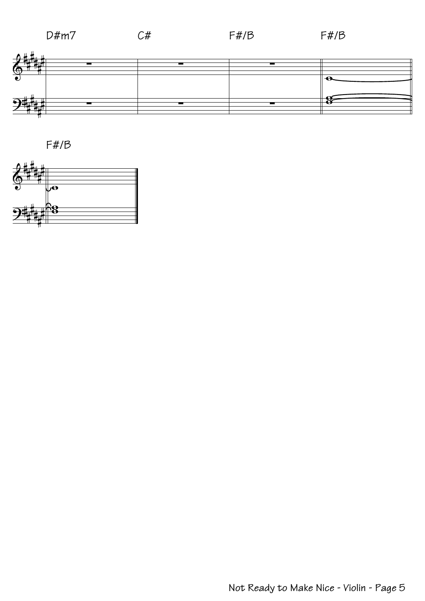

 $F# / B$ 

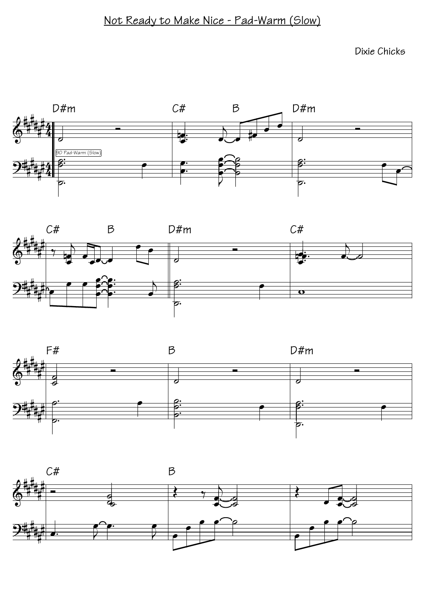





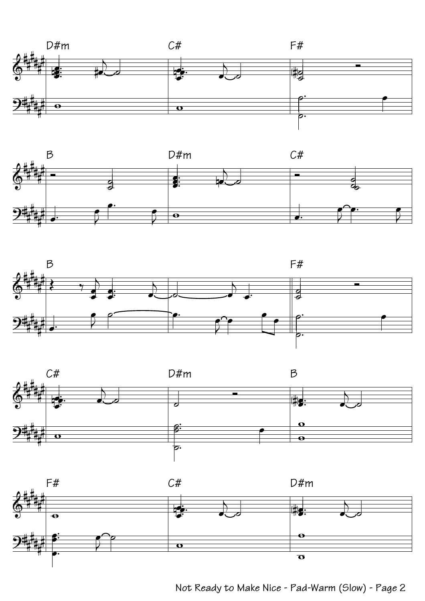







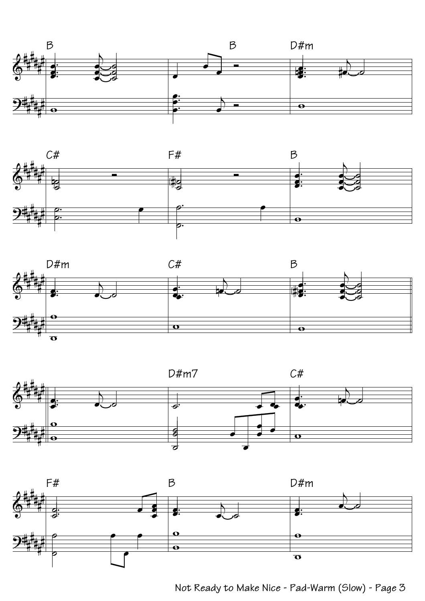







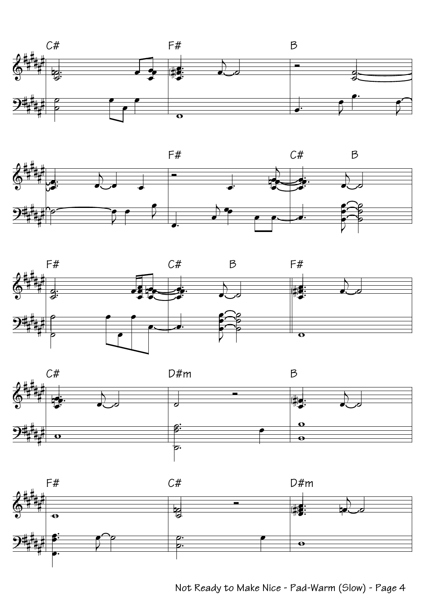







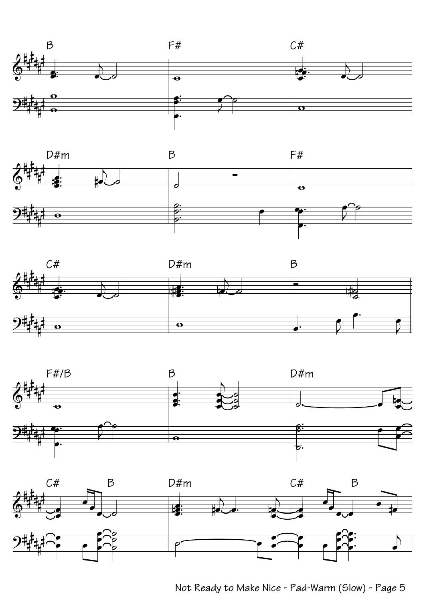







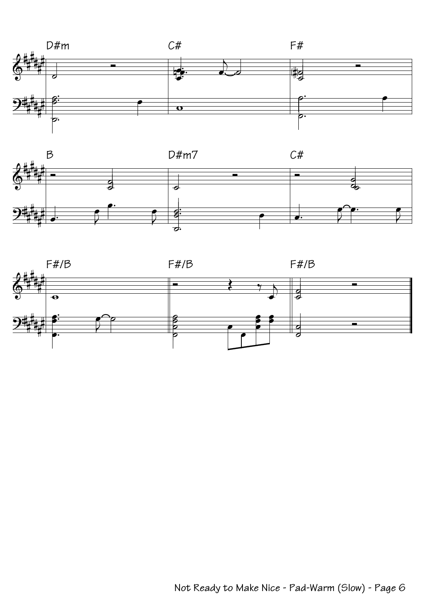



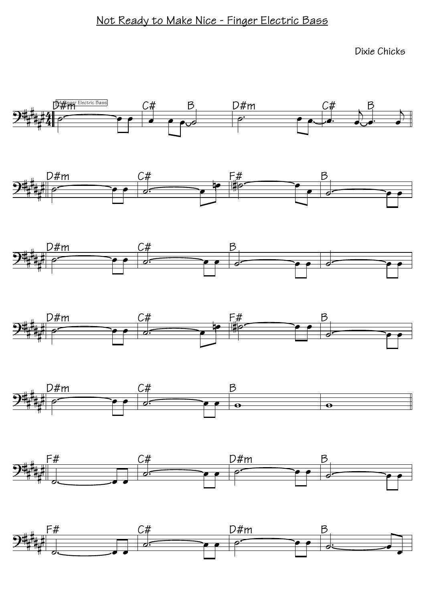## Not Ready to Make Nice - Finger Electric Bass

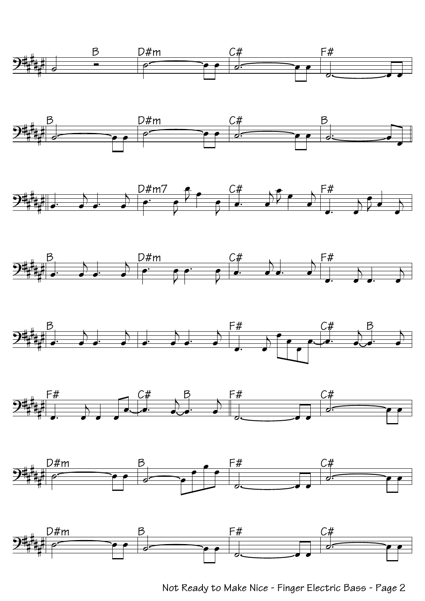















Not Ready to Make Nice - Finger Electric Bass - Page 2